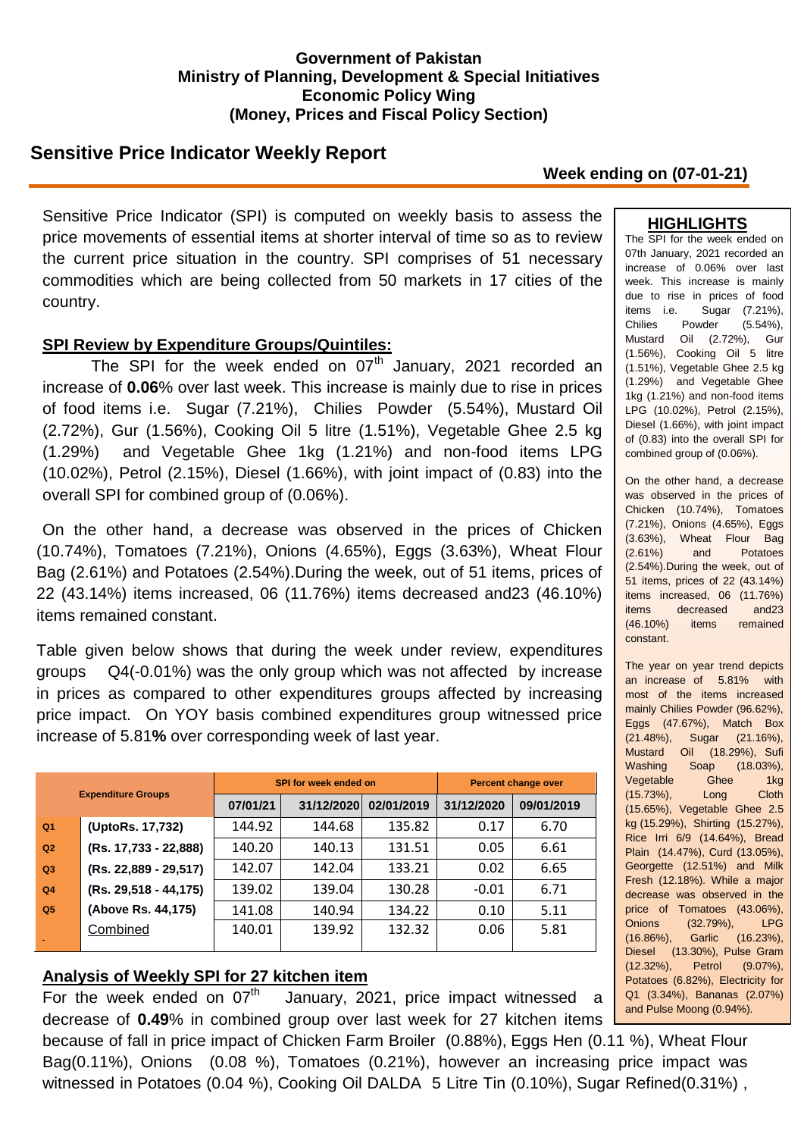### **Government of Pakistan Ministry of Planning, Development & Special Initiatives Economic Policy Wing (Money, Prices and Fiscal Policy Section)**

# **Sensitive Price Indicator Weekly Report**

**Week ending on (07-01-21)**

Sensitive Price Indicator (SPI) is computed on weekly basis to assess the price movements of essential items at shorter interval of time so as to review the current price situation in the country. SPI comprises of 51 necessary commodities which are being collected from 50 markets in 17 cities of the country.

### **SPI Review by Expenditure Groups/Quintiles:**

The SPI for the week ended on  $07<sup>th</sup>$  January, 2021 recorded an increase of **0.06**% over last week. This increase is mainly due to rise in prices of food items i.e. Sugar (7.21%), Chilies Powder (5.54%), Mustard Oil (2.72%), Gur (1.56%), Cooking Oil 5 litre (1.51%), Vegetable Ghee 2.5 kg (1.29%) and Vegetable Ghee 1kg (1.21%) and non-food items LPG (10.02%), Petrol (2.15%), Diesel (1.66%), with joint impact of (0.83) into the overall SPI for combined group of (0.06%).

On the other hand, a decrease was observed in the prices of Chicken (10.74%), Tomatoes (7.21%), Onions (4.65%), Eggs (3.63%), Wheat Flour Bag (2.61%) and Potatoes (2.54%).During the week, out of 51 items, prices of 22 (43.14%) items increased, 06 (11.76%) items decreased and23 (46.10%) items remained constant.

Table given below shows that during the week under review, expenditures groups Q4(-0.01%) was the only group which was not affected by increase in prices as compared to other expenditures groups affected by increasing price impact. On YOY basis combined expenditures group witnessed price increase of 5.81**%** over corresponding week of last year.

|                |                           |          | SPI for week ended on | <b>Percent change over</b> |            |            |  |
|----------------|---------------------------|----------|-----------------------|----------------------------|------------|------------|--|
|                | <b>Expenditure Groups</b> | 07/01/21 | 31/12/2020            | 02/01/2019                 | 31/12/2020 | 09/01/2019 |  |
| Q <sub>1</sub> | (UptoRs. 17,732)          | 144.92   | 144.68                | 135.82                     | 0.17       | 6.70       |  |
| Q2             | (Rs. 17,733 - 22,888)     | 140.20   | 140.13                | 131.51                     | 0.05       | 6.61       |  |
| Q3             | (Rs. 22,889 - 29,517)     | 142.07   | 142.04                | 133.21                     | 0.02       | 6.65       |  |
| Q <sub>4</sub> | (Rs. 29,518 - 44,175)     | 139.02   | 139.04                | 130.28                     | $-0.01$    | 6.71       |  |
| Q <sub>5</sub> | (Above Rs. 44,175)        | 141.08   | 140.94                | 134.22                     | 0.10       | 5.11       |  |
|                | Combined                  | 140.01   | 139.92                | 132.32                     | 0.06       | 5.81       |  |

### **Analysis of Weekly SPI for 27 kitchen item**

For the week ended on  $07<sup>th</sup>$  January, 2021, price impact witnessed a decrease of **0.49**% in combined group over last week for 27 kitchen items

because of fall in price impact of Chicken Farm Broiler (0.88%), Eggs Hen (0.11 %), Wheat Flour Bag(0.11%), Onions (0.08 %), Tomatoes (0.21%), however an increasing price impact was witnessed in Potatoes (0.04 %), Cooking Oil DALDA 5 Litre Tin (0.10%), Sugar Refined (0.31%),

#### **HIGHLIGHTS**

The SPI for the week ended on 07th January, 2021 recorded an increase of 0.06% over last week. This increase is mainly due to rise in prices of food items i.e. Sugar (7.21%), Chilies Powder (5.54%), Mustard Oil (2.72%), Gur (1.56%), Cooking Oil 5 litre (1.51%), Vegetable Ghee 2.5 kg (1.29%) and Vegetable Ghee 1kg (1.21%) and non-food items LPG (10.02%), Petrol (2.15%), Diesel (1.66%), with joint impact of (0.83) into the overall SPI for combined group of (0.06%).

On the other hand, a decrease was observed in the prices of Chicken (10.74%), Tomatoes (7.21%), Onions (4.65%), Eggs (3.63%), Wheat Flour Bag (2.61%) and Potatoes (2.54%).During the week, out of 51 items, prices of 22 (43.14%) items increased, 06 (11.76%) items decreased and23 (46.10%) items remained constant.

The year on year trend depicts an increase of 5.81% with most of the items increased mainly Chilies Powder (96.62%), Eggs (47.67%), Match Box (21.48%), Sugar (21.16%), Mustard Oil (18.29%), Sufi Washing Soap (18.03%), Vegetable Ghee 1kg (15.73%), Long Cloth (15.65%), Vegetable Ghee 2.5 kg (15.29%), Shirting (15.27%), Rice Irri 6/9 (14.64%), Bread Plain (14.47%), Curd (13.05%), Georgette (12.51%) and Milk Fresh (12.18%). While a major decrease was observed in the price of Tomatoes (43.06%), Onions (32.79%), LPG (16.86%), Garlic (16.23%), Diesel (13.30%), Pulse Gram (12.32%), Petrol (9.07%), Potatoes (6.82%), Electricity for Q1 (3.34%), Bananas (2.07%) and Pulse Moong (0.94%).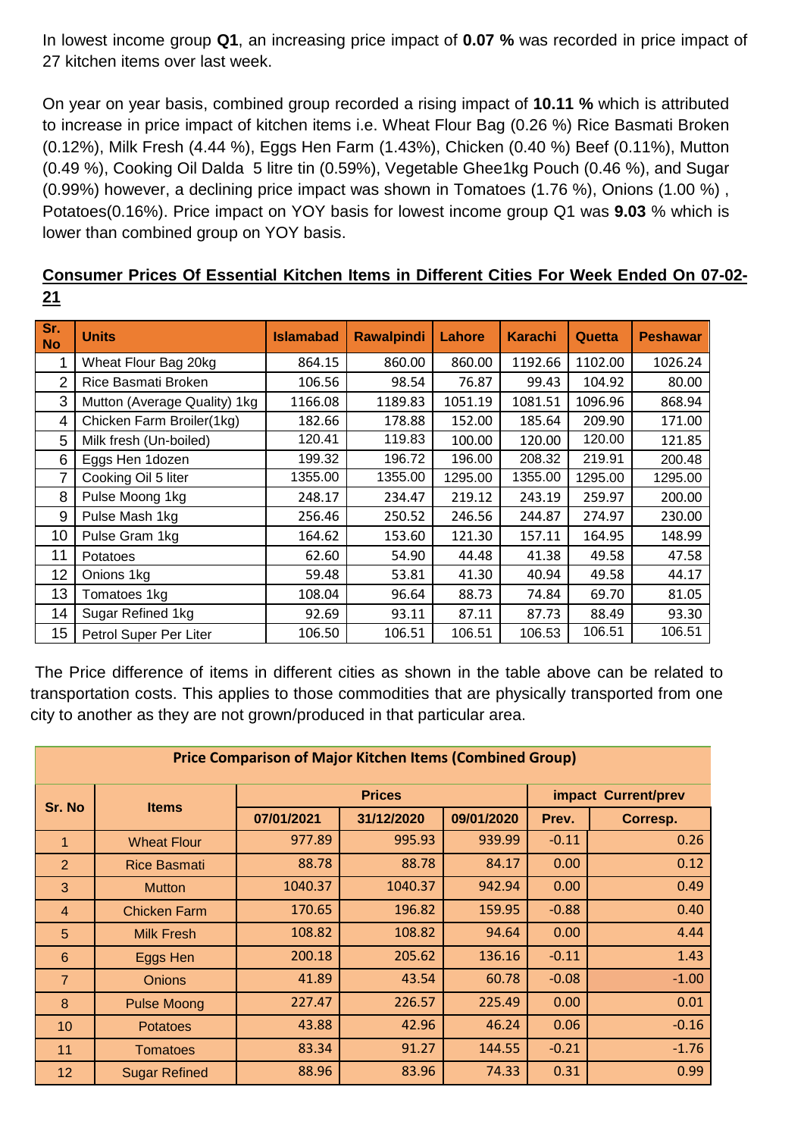In lowest income group **Q1**, an increasing price impact of **0.07 %** was recorded in price impact of 27 kitchen items over last week.

On year on year basis, combined group recorded a rising impact of **10.11 %** which is attributed to increase in price impact of kitchen items i.e. Wheat Flour Bag (0.26 %) Rice Basmati Broken (0.12%), Milk Fresh (4.44 %), Eggs Hen Farm (1.43%), Chicken (0.40 %) Beef (0.11%), Mutton (0.49 %), Cooking Oil Dalda 5 litre tin (0.59%), Vegetable Ghee1kg Pouch (0.46 %), and Sugar (0.99%) however, a declining price impact was shown in Tomatoes (1.76 %), Onions (1.00 %) , Potatoes(0.16%). Price impact on YOY basis for lowest income group Q1 was **9.03** % which is lower than combined group on YOY basis.

|    | Consumer Prices Of Essential Kitchen Items in Different Cities For Week Ended On 07-02- |  |  |  |  |  |
|----|-----------------------------------------------------------------------------------------|--|--|--|--|--|
| 21 |                                                                                         |  |  |  |  |  |

| Sr.<br>  No    | <b>Units</b>                 | <b>Islamabad</b> | <b>Rawalpindi</b> | Lahore  | <b>Karachi</b> | <b>Quetta</b> | <b>Peshawar</b> |
|----------------|------------------------------|------------------|-------------------|---------|----------------|---------------|-----------------|
|                | Wheat Flour Bag 20kg         | 864.15           | 860.00            | 860.00  | 1192.66        | 1102.00       | 1026.24         |
| $\overline{2}$ | Rice Basmati Broken          | 106.56           | 98.54             | 76.87   | 99.43          | 104.92        | 80.00           |
| 3              | Mutton (Average Quality) 1kg | 1166.08          | 1189.83           | 1051.19 | 1081.51        | 1096.96       | 868.94          |
| 4              | Chicken Farm Broiler(1kg)    | 182.66           | 178.88            | 152.00  | 185.64         | 209.90        | 171.00          |
| 5              | Milk fresh (Un-boiled)       | 120.41           | 119.83            | 100.00  | 120.00         | 120.00        | 121.85          |
| 6              | Eggs Hen 1dozen              | 199.32           | 196.72            | 196.00  | 208.32         | 219.91        | 200.48          |
| 7              | Cooking Oil 5 liter          | 1355.00          | 1355.00           | 1295.00 | 1355.00        | 1295.00       | 1295.00         |
| 8              | Pulse Moong 1kg              | 248.17           | 234.47            | 219.12  | 243.19         | 259.97        | 200.00          |
| 9              | Pulse Mash 1kg               | 256.46           | 250.52            | 246.56  | 244.87         | 274.97        | 230.00          |
| 10             | Pulse Gram 1kg               | 164.62           | 153.60            | 121.30  | 157.11         | 164.95        | 148.99          |
| 11             | Potatoes                     | 62.60            | 54.90             | 44.48   | 41.38          | 49.58         | 47.58           |
| 12             | Onions 1kg                   | 59.48            | 53.81             | 41.30   | 40.94          | 49.58         | 44.17           |
| 13             | Tomatoes 1kg                 | 108.04           | 96.64             | 88.73   | 74.84          | 69.70         | 81.05           |
| 14             | Sugar Refined 1kg            | 92.69            | 93.11             | 87.11   | 87.73          | 88.49         | 93.30           |
| 15             | Petrol Super Per Liter       | 106.50           | 106.51            | 106.51  | 106.53         | 106.51        | 106.51          |

The Price difference of items in different cities as shown in the table above can be related to transportation costs. This applies to those commodities that are physically transported from one city to another as they are not grown/produced in that particular area.

| <b>Price Comparison of Major Kitchen Items (Combined Group)</b> |                      |            |               |                     |         |          |  |  |  |
|-----------------------------------------------------------------|----------------------|------------|---------------|---------------------|---------|----------|--|--|--|
| Sr. No                                                          | <b>Items</b>         |            | <b>Prices</b> | impact Current/prev |         |          |  |  |  |
|                                                                 |                      | 07/01/2021 | 31/12/2020    | 09/01/2020          | Prev.   | Corresp. |  |  |  |
| 1                                                               | <b>Wheat Flour</b>   | 977.89     | 995.93        | 939.99              | $-0.11$ | 0.26     |  |  |  |
| $\overline{2}$                                                  | <b>Rice Basmati</b>  | 88.78      | 88.78         | 84.17               | 0.00    | 0.12     |  |  |  |
| 3                                                               | <b>Mutton</b>        | 1040.37    | 1040.37       | 942.94              | 0.00    | 0.49     |  |  |  |
| $\overline{4}$                                                  | <b>Chicken Farm</b>  | 170.65     | 196.82        | 159.95              | $-0.88$ | 0.40     |  |  |  |
| 5                                                               | <b>Milk Fresh</b>    | 108.82     | 108.82        | 94.64               | 0.00    | 4.44     |  |  |  |
| $6\phantom{1}$                                                  | Eggs Hen             | 200.18     | 205.62        | 136.16              | $-0.11$ | 1.43     |  |  |  |
| $\overline{7}$                                                  | <b>Onions</b>        | 41.89      | 43.54         | 60.78               | $-0.08$ | $-1.00$  |  |  |  |
| 8                                                               | <b>Pulse Moong</b>   | 227.47     | 226.57        | 225.49              | 0.00    | 0.01     |  |  |  |
| 10                                                              | <b>Potatoes</b>      | 43.88      | 42.96         | 46.24               | 0.06    | $-0.16$  |  |  |  |
| 11                                                              | <b>Tomatoes</b>      | 83.34      | 91.27         | 144.55              | $-0.21$ | $-1.76$  |  |  |  |
| 12                                                              | <b>Sugar Refined</b> | 88.96      | 83.96         | 74.33               | 0.31    | 0.99     |  |  |  |